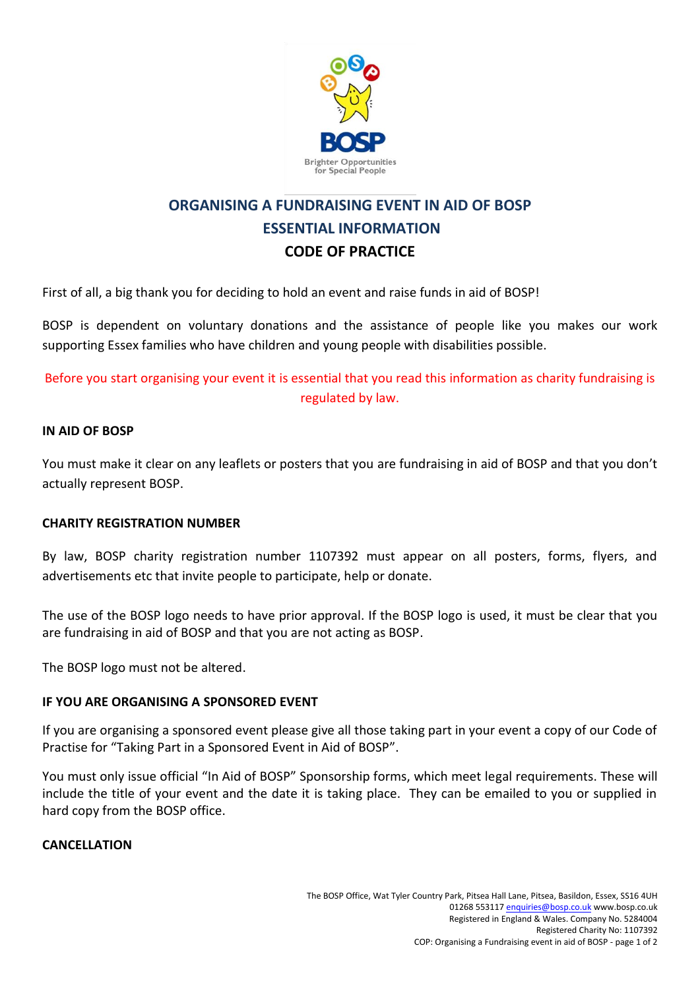

# **ORGANISING A FUNDRAISING EVENT IN AID OF BOSP ESSENTIAL INFORMATION CODE OF PRACTICE**

First of all, a big thank you for deciding to hold an event and raise funds in aid of BOSP!

BOSP is dependent on voluntary donations and the assistance of people like you makes our work supporting Essex families who have children and young people with disabilities possible.

Before you start organising your event it is essential that you read this information as charity fundraising is regulated by law.

# **IN AID OF BOSP**

You must make it clear on any leaflets or posters that you are fundraising in aid of BOSP and that you don't actually represent BOSP.

# **CHARITY REGISTRATION NUMBER**

By law, BOSP charity registration number 1107392 must appear on all posters, forms, flyers, and advertisements etc that invite people to participate, help or donate.

The use of the BOSP logo needs to have prior approval. If the BOSP logo is used, it must be clear that you are fundraising in aid of BOSP and that you are not acting as BOSP.

The BOSP logo must not be altered.

# **IF YOU ARE ORGANISING A SPONSORED EVENT**

If you are organising a sponsored event please give all those taking part in your event a copy of our Code of Practise for "Taking Part in a Sponsored Event in Aid of BOSP".

You must only issue official "In Aid of BOSP" Sponsorship forms, which meet legal requirements. These will include the title of your event and the date it is taking place. They can be emailed to you or supplied in hard copy from the BOSP office.

# **CANCELLATION**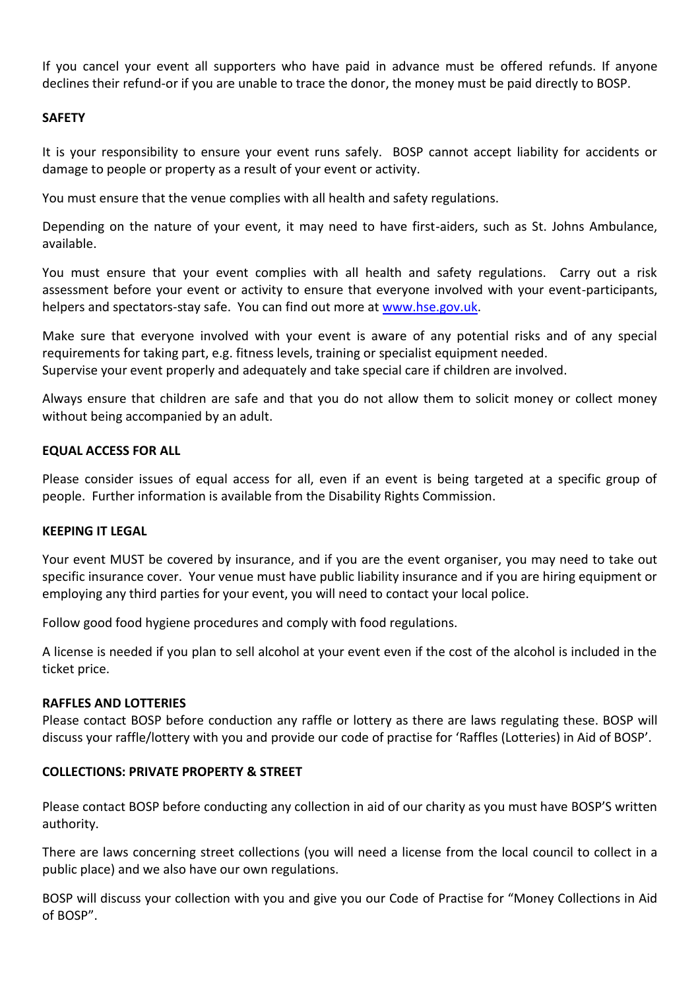If you cancel your event all supporters who have paid in advance must be offered refunds. If anyone declines their refund-or if you are unable to trace the donor, the money must be paid directly to BOSP.

# **SAFETY**

It is your responsibility to ensure your event runs safely. BOSP cannot accept liability for accidents or damage to people or property as a result of your event or activity.

You must ensure that the venue complies with all health and safety regulations.

Depending on the nature of your event, it may need to have first-aiders, such as St. Johns Ambulance, available.

You must ensure that your event complies with all health and safety regulations. Carry out a risk assessment before your event or activity to ensure that everyone involved with your event-participants, helpers and spectators-stay safe. You can find out more at [www.hse.gov.uk.](http://www.hse.gov.uk/)

Make sure that everyone involved with your event is aware of any potential risks and of any special requirements for taking part, e.g. fitness levels, training or specialist equipment needed. Supervise your event properly and adequately and take special care if children are involved.

Always ensure that children are safe and that you do not allow them to solicit money or collect money without being accompanied by an adult.

# **EQUAL ACCESS FOR ALL**

Please consider issues of equal access for all, even if an event is being targeted at a specific group of people. Further information is available from the Disability Rights Commission.

# **KEEPING IT LEGAL**

Your event MUST be covered by insurance, and if you are the event organiser, you may need to take out specific insurance cover. Your venue must have public liability insurance and if you are hiring equipment or employing any third parties for your event, you will need to contact your local police.

Follow good food hygiene procedures and comply with food regulations.

A license is needed if you plan to sell alcohol at your event even if the cost of the alcohol is included in the ticket price.

#### **RAFFLES AND LOTTERIES**

Please contact BOSP before conduction any raffle or lottery as there are laws regulating these. BOSP will discuss your raffle/lottery with you and provide our code of practise for 'Raffles (Lotteries) in Aid of BOSP'.

# **COLLECTIONS: PRIVATE PROPERTY & STREET**

Please contact BOSP before conducting any collection in aid of our charity as you must have BOSP'S written authority.

There are laws concerning street collections (you will need a license from the local council to collect in a public place) and we also have our own regulations.

BOSP will discuss your collection with you and give you our Code of Practise for "Money Collections in Aid of BOSP".